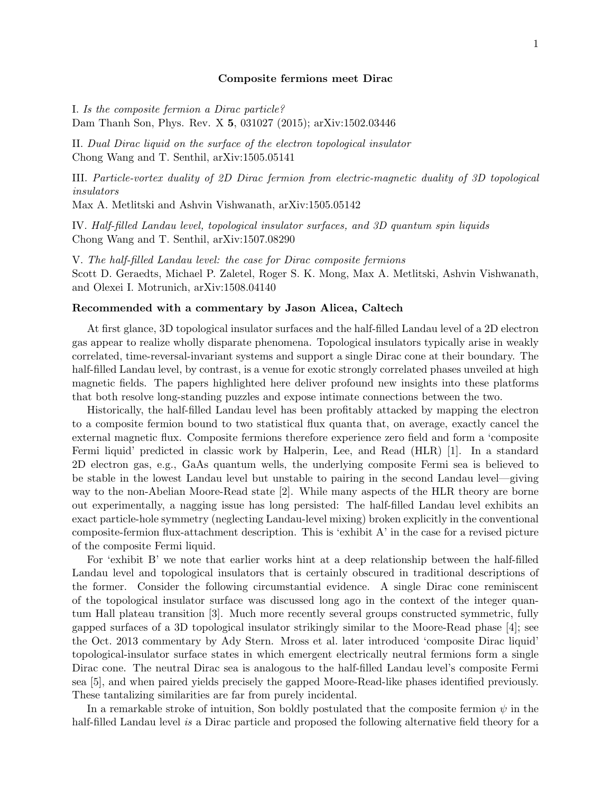## Composite fermions meet Dirac

I. Is the composite fermion a Dirac particle? Dam Thanh Son, Phys. Rev. X 5, 031027 (2015); arXiv:1502.03446

II. Dual Dirac liquid on the surface of the electron topological insulator Chong Wang and T. Senthil, arXiv:1505.05141

III. Particle-vortex duality of 2D Dirac fermion from electric-magnetic duality of 3D topological insulators

Max A. Metlitski and Ashvin Vishwanath, arXiv:1505.05142

IV. Half-filled Landau level, topological insulator surfaces, and 3D quantum spin liquids Chong Wang and T. Senthil, arXiv:1507.08290

V. The half-filled Landau level: the case for Dirac composite fermions Scott D. Geraedts, Michael P. Zaletel, Roger S. K. Mong, Max A. Metlitski, Ashvin Vishwanath, and Olexei I. Motrunich, arXiv:1508.04140

## Recommended with a commentary by Jason Alicea, Caltech

At first glance, 3D topological insulator surfaces and the half-filled Landau level of a 2D electron gas appear to realize wholly disparate phenomena. Topological insulators typically arise in weakly correlated, time-reversal-invariant systems and support a single Dirac cone at their boundary. The half-filled Landau level, by contrast, is a venue for exotic strongly correlated phases unveiled at high magnetic fields. The papers highlighted here deliver profound new insights into these platforms that both resolve long-standing puzzles and expose intimate connections between the two.

Historically, the half-filled Landau level has been profitably attacked by mapping the electron to a composite fermion bound to two statistical flux quanta that, on average, exactly cancel the external magnetic flux. Composite fermions therefore experience zero field and form a 'composite Fermi liquid' predicted in classic work by Halperin, Lee, and Read (HLR) [1]. In a standard 2D electron gas, e.g., GaAs quantum wells, the underlying composite Fermi sea is believed to be stable in the lowest Landau level but unstable to pairing in the second Landau level—giving way to the non-Abelian Moore-Read state [2]. While many aspects of the HLR theory are borne out experimentally, a nagging issue has long persisted: The half-filled Landau level exhibits an exact particle-hole symmetry (neglecting Landau-level mixing) broken explicitly in the conventional composite-fermion flux-attachment description. This is 'exhibit A' in the case for a revised picture of the composite Fermi liquid.

For 'exhibit B' we note that earlier works hint at a deep relationship between the half-filled Landau level and topological insulators that is certainly obscured in traditional descriptions of the former. Consider the following circumstantial evidence. A single Dirac cone reminiscent of the topological insulator surface was discussed long ago in the context of the integer quantum Hall plateau transition [3]. Much more recently several groups constructed symmetric, fully gapped surfaces of a 3D topological insulator strikingly similar to the Moore-Read phase [4]; see the Oct. 2013 commentary by Ady Stern. Mross et al. later introduced 'composite Dirac liquid' topological-insulator surface states in which emergent electrically neutral fermions form a single Dirac cone. The neutral Dirac sea is analogous to the half-filled Landau level's composite Fermi sea [5], and when paired yields precisely the gapped Moore-Read-like phases identified previously. These tantalizing similarities are far from purely incidental.

In a remarkable stroke of intuition, Son boldly postulated that the composite fermion  $\psi$  in the half-filled Landau level is a Dirac particle and proposed the following alternative field theory for a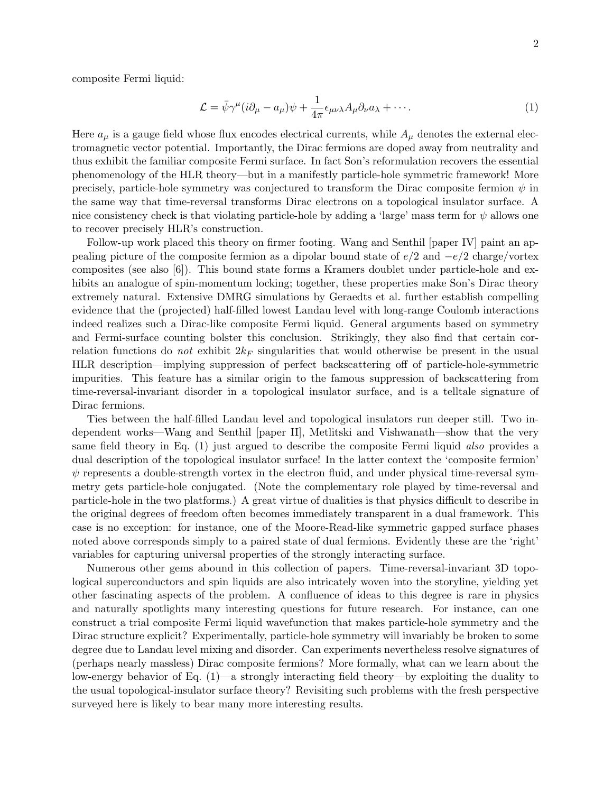composite Fermi liquid:

$$
\mathcal{L} = \bar{\psi}\gamma^{\mu}(i\partial_{\mu} - a_{\mu})\psi + \frac{1}{4\pi}\epsilon_{\mu\nu\lambda}A_{\mu}\partial_{\nu}a_{\lambda} + \cdots.
$$
\n(1)

Here  $a_{\mu}$  is a gauge field whose flux encodes electrical currents, while  $A_{\mu}$  denotes the external electromagnetic vector potential. Importantly, the Dirac fermions are doped away from neutrality and thus exhibit the familiar composite Fermi surface. In fact Son's reformulation recovers the essential phenomenology of the HLR theory—but in a manifestly particle-hole symmetric framework! More precisely, particle-hole symmetry was conjectured to transform the Dirac composite fermion  $\psi$  in the same way that time-reversal transforms Dirac electrons on a topological insulator surface. A nice consistency check is that violating particle-hole by adding a 'large' mass term for  $\psi$  allows one to recover precisely HLR's construction.

Follow-up work placed this theory on firmer footing. Wang and Senthil [paper IV] paint an appealing picture of the composite fermion as a dipolar bound state of  $e/2$  and  $-e/2$  charge/vortex composites (see also [6]). This bound state forms a Kramers doublet under particle-hole and exhibits an analogue of spin-momentum locking; together, these properties make Son's Dirac theory extremely natural. Extensive DMRG simulations by Geraedts et al. further establish compelling evidence that the (projected) half-filled lowest Landau level with long-range Coulomb interactions indeed realizes such a Dirac-like composite Fermi liquid. General arguments based on symmetry and Fermi-surface counting bolster this conclusion. Strikingly, they also find that certain correlation functions do *not* exhibit  $2k_F$  singularities that would otherwise be present in the usual HLR description—implying suppression of perfect backscattering off of particle-hole-symmetric impurities. This feature has a similar origin to the famous suppression of backscattering from time-reversal-invariant disorder in a topological insulator surface, and is a telltale signature of Dirac fermions.

Ties between the half-filled Landau level and topological insulators run deeper still. Two independent works—Wang and Senthil [paper II], Metlitski and Vishwanath—show that the very same field theory in Eq. (1) just argued to describe the composite Fermi liquid also provides a dual description of the topological insulator surface! In the latter context the 'composite fermion'  $\psi$  represents a double-strength vortex in the electron fluid, and under physical time-reversal symmetry gets particle-hole conjugated. (Note the complementary role played by time-reversal and particle-hole in the two platforms.) A great virtue of dualities is that physics difficult to describe in the original degrees of freedom often becomes immediately transparent in a dual framework. This case is no exception: for instance, one of the Moore-Read-like symmetric gapped surface phases noted above corresponds simply to a paired state of dual fermions. Evidently these are the 'right' variables for capturing universal properties of the strongly interacting surface.

Numerous other gems abound in this collection of papers. Time-reversal-invariant 3D topological superconductors and spin liquids are also intricately woven into the storyline, yielding yet other fascinating aspects of the problem. A confluence of ideas to this degree is rare in physics and naturally spotlights many interesting questions for future research. For instance, can one construct a trial composite Fermi liquid wavefunction that makes particle-hole symmetry and the Dirac structure explicit? Experimentally, particle-hole symmetry will invariably be broken to some degree due to Landau level mixing and disorder. Can experiments nevertheless resolve signatures of (perhaps nearly massless) Dirac composite fermions? More formally, what can we learn about the low-energy behavior of Eq. (1)—a strongly interacting field theory—by exploiting the duality to the usual topological-insulator surface theory? Revisiting such problems with the fresh perspective surveyed here is likely to bear many more interesting results.